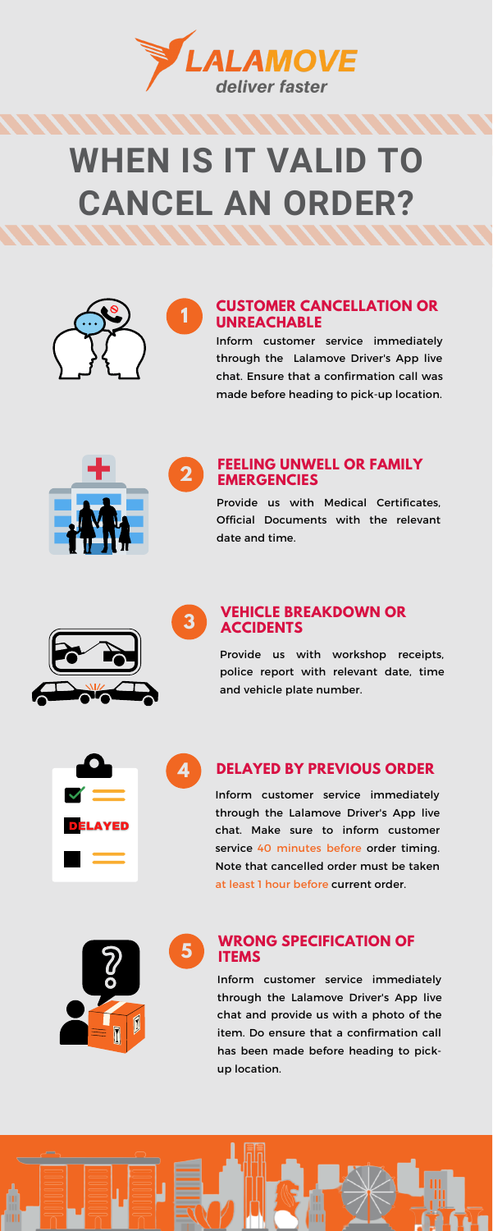**1**

**2**

**4**

**5**

**3**



# **WHEN IS IT VALID TO CANCEL AN ORDER?**



Inform customer service immediately through the Lalamove Driver's App live chat. Make sure to inform customer service 40 minutes before order timing. Note that cancelled order must be taken at least 1 hour before current order.



#### **VEHICLE BREAKDOWN OR ACCIDENTS**

Provide us with workshop receipts, police report with relevant date, time and vehicle plate number.



Inform customer service immediately through the Lalamove Driver's App live chat and provide us with a photo of the item. Do ensure that a confirmation call has been made before heading to pickup location.



#### **CUSTOMER CANCELLATION OR UNREACHABLE**

#### **FEELING UNWELL OR FAMILY EMERGENCIES**

Provide us with Medical Certificates, Official Documents with the relevant date and time.



#### **WRONG SPECIFICATION OF ITEMS**

Inform customer service immediately through the Lalamove Driver's App live chat. Ensure that a confirmation call was made before heading to pick-up location.



### **DELAYED BY PREVIOUS ORDER**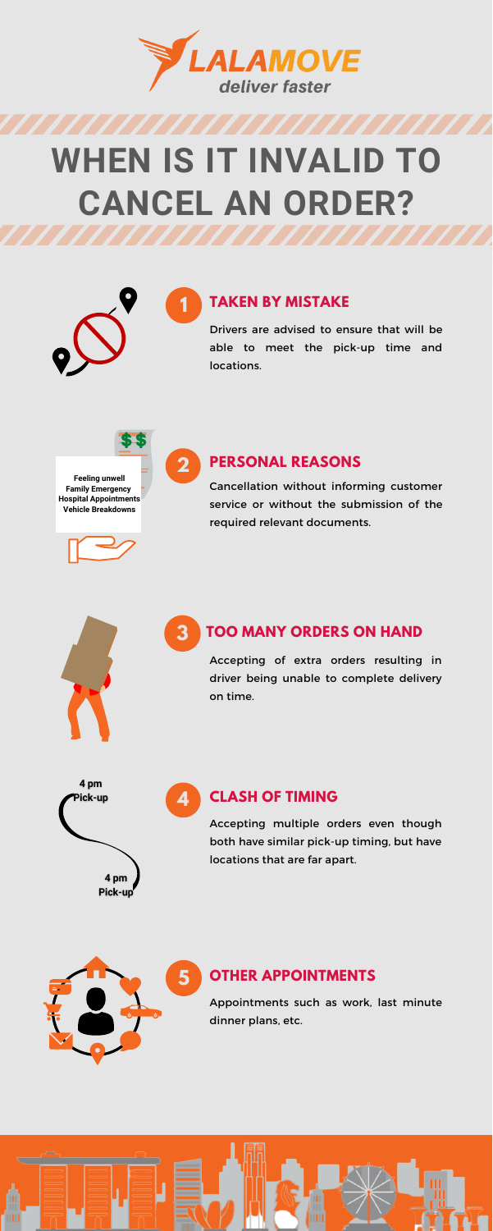**1**

**2**

**4**



## **WHEN IS IT INVALID TO CANCEL AN ORDER?**





Accepting multiple orders even though both have similar pick-up timing, but have locations that are far apart.

Accepting of extra orders resulting in driver being unable to complete delivery on time.





Cancellation without informing customer service or without the submission of the required relevant documents.

#### **3 TOO MANY ORDERS ON HAND**



Drivers are advised to ensure that will be able to meet the pick-up time and locations.

**SES** 

**Feeling unwell Family Emergency Hospital Appointments Vehicle Breakdowns**

Appointments such as work, last minute dinner plans, etc.



#### **TAKEN BY MISTAKE**

#### **PERSONAL REASONS**

### **CLASH OF TIMING**

#### **OTHER APPOINTMENTS**